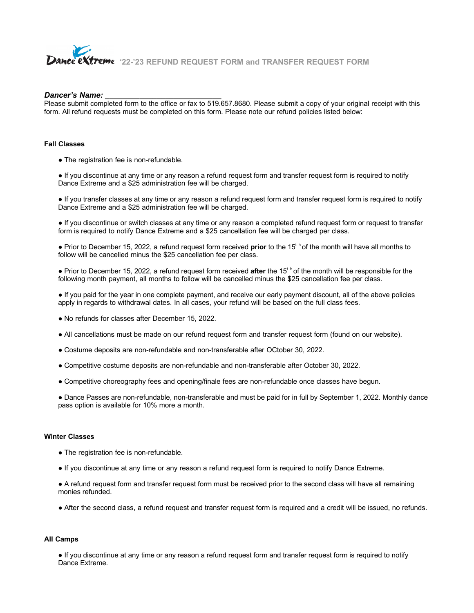

**'22-'23 REFUND REQUEST FORM and TRANSFER REQUEST FORM** 

#### *Dancer's Name: \_\_\_\_\_\_\_\_\_\_\_\_\_\_\_\_\_\_\_\_\_\_\_\_\_\_\_*

Please submit completed form to the office or fax to 519.657.8680. Please submit a copy of your original receipt with this form. All refund requests must be completed on this form. Please note our refund policies listed below:

#### **Fall Classes**

• The registration fee is non-refundable.

● If you discontinue at any time or any reason a refund request form and transfer request form is required to notify Dance Extreme and a \$25 administration fee will be charged.

● If you transfer classes at any time or any reason a refund request form and transfer request form is required to notify Dance Extreme and a \$25 administration fee will be charged.

● If you discontinue or switch classes at any time or any reason a completed refund request form or request to transfer form is required to notify Dance Extreme and a \$25 cancellation fee will be charged per class.

● Prior to December 15, 2022, a refund request form received **prior** to the 15t h of the month will have all months to follow will be cancelled minus the \$25 cancellation fee per class.

● Prior to December 15, 2022, a refund request form received **after** the 15t h of the month will be responsible for the following month payment, all months to follow will be cancelled minus the \$25 cancellation fee per class.

● If you paid for the year in one complete payment, and receive our early payment discount, all of the above policies apply in regards to withdrawal dates. In all cases, your refund will be based on the full class fees.

- No refunds for classes after December 15, 2022.
- All cancellations must be made on our refund request form and transfer request form (found on our website).
- Costume deposits are non-refundable and non-transferable after OCtober 30, 2022.
- Competitive costume deposits are non-refundable and non-transferable after October 30, 2022.
- Competitive choreography fees and opening/finale fees are non-refundable once classes have begun.

● Dance Passes are non-refundable, non-transferable and must be paid for in full by September 1, 2022. Monthly dance pass option is available for 10% more a month.

### **Winter Classes**

- The registration fee is non-refundable.
- If you discontinue at any time or any reason a refund request form is required to notify Dance Extreme.

● A refund request form and transfer request form must be received prior to the second class will have all remaining monies refunded.

● After the second class, a refund request and transfer request form is required and a credit will be issued, no refunds.

#### **All Camps**

● If you discontinue at any time or any reason a refund request form and transfer request form is required to notify Dance Extreme.